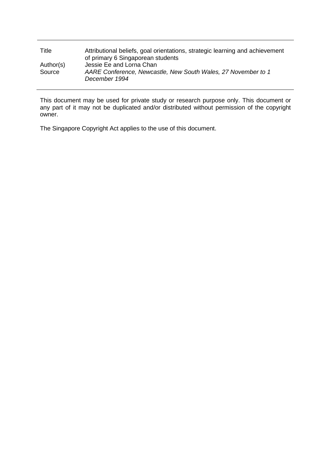| Title               | Attributional beliefs, goal orientations, strategic learning and achievement<br>of primary 6 Singaporean students |
|---------------------|-------------------------------------------------------------------------------------------------------------------|
| Author(s)<br>Source | Jessie Ee and Lorna Chan<br>AARE Conference, Newcastle, New South Wales, 27 November to 1<br>December 1994        |

This document may be used for private study or research purpose only. This document or any part of it may not be duplicated and/or distributed without permission of the copyright owner.

The Singapore Copyright Act applies to the use of this document.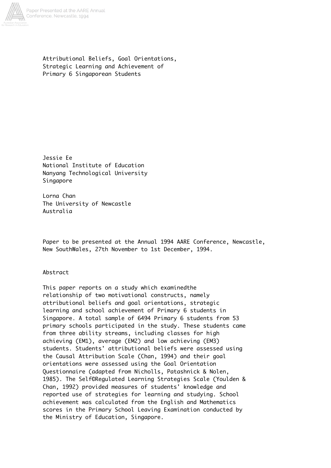

Attributional Beliefs, Goal Orientations, Strategic Learning and Achievement of Primary 6 Singaporean Students

Jessie Ee National Institute of Education Nanyang Technological University Singapore

Lorna Chan The University of Newcastle Australia

Paper to be presented at the Annual 1994 AARE Conference, Newcastle, New SouthWales, 27th November to 1st December, 1994.

Abstract

This paper reports on a study which examinedthe relationship of two motivational constructs, namely attributional beliefs and goal orientations, strategic learning and school achievement of Primary 6 students in Singapore. A total sample of 6494 Primary 6 students from 53 primary schools participated in the study. These students came from three ability streams, including classes for high achieving (EM1), average (EM2) and low achieving (EM3) students. Students' attributional beliefs were assessed using the Causal Attribution Scale (Chan, 1994) and their goal orientations were assessed using the Goal Orientation Questionnaire (adapted from Nicholls, Patashnick & Nolen, 1985). The Self©Regulated Learning Strategies Scale (Youlden & Chan, 1992) provided measures of students' knowledge and reported use of strategies for learning and studying. School achievement was calculated from the English and Mathematics scores in the Primary School Leaving Examination conducted by the Ministry of Education, Singapore.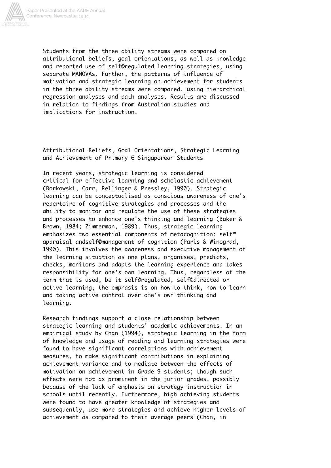

Students from the three ability streams were compared on attributional beliefs, goal orientations, as well as knowledge and reported use of self©regulated learning strategies, using separate MANOVAs. Further, the patterns of influence of motivation and strategic learning on achievement for students in the three ability streams were compared, using hierarchical regression analyses and path analyses. Results are discussed in relation to findings from Australian studies and implications for instruction.

Attributional Beliefs, Goal Orientations, Strategic Learning and Achievement of Primary 6 Singaporean Students

In recent years, strategic learning is considered critical for effective learning and scholastic achievement (Borkowski, Carr, Rellinger & Pressley, 1990). Strategic learning can be conceptualised as conscious awareness of one's repertoire of cognitive strategies and processes and the ability to monitor and regulate the use of these strategies and processes to enhance one's thinking and learning (Baker & Brown, 1984; Zimmerman, 1989). Thus, strategic learning emphasizes two essential components of metacognition: self™ appraisal andself©management of cognition (Paris & Winograd, 1990). This involves the awareness and executive management of the learning situation as one plans, organises, predicts, checks, monitors and adapts the learning experience and takes responsibility for one's own learning. Thus, regardless of the term that is used, be it self©regulated, self©directed or active learning, the emphasis is on how to think, how to learn and taking active control over one's own thinking and learning.

Research findings support a close relationship between strategic learning and students' academic achievements. In an empirical study by Chan (1994), strategic learning in the form of knowledge and usage of reading and learning strategies were found to have significant correlations with achievement measures, to make significant contributions in explaining achievement variance and to mediate between the effects of motivation on achievement in Grade 9 students; though such effects were not as prominent in the junior grades, possibly because of the lack of emphasis on strategy instruction in schools until recently. Furthermore, high achieving students were found to have greater knowledge of strategies and subsequently, use more strategies and achieve higher levels of achievement as compared to their average peers (Chan, in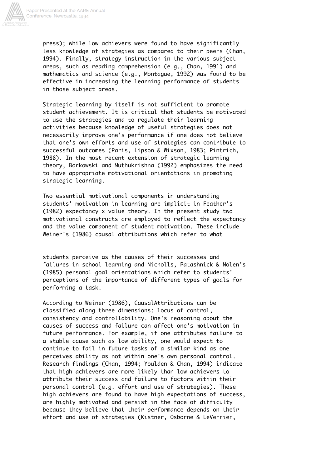

press); while low achievers were found to have significantly less knowledge of strategies as compared to their peers (Chan, 1994). Finally, strategy instruction in the various subject areas, such as reading comprehension (e.g., Chan, 1991) and mathematics and science (e.g., Montague, 1992) was found to be effective in increasing the learning performance of students in those subject areas.

Strategic learning by itself is not sufficient to promote student achievement. It is critical that students be motivated to use the strategies and to regulate their learning activities because knowledge of useful strategies does not necessarily improve one's performance if one does not believe that one's own efforts and use of strategies can contribute to successful outcomes (Paris, Lipson & Wixson, 1983; Pintrich, 1988). In the most recent extension of strategic learning theory, Borkowski and Muthukrishna (1992) emphasizes the need to have appropriate motivational orientations in promoting strategic learning.

Two essential motivational components in understanding students' motivation in learning are implicit in Feather's (1982) expectancy x value theory. In the present study two motivational constructs are employed to reflect the expectancy and the value component of student motivation. These include Weiner's (1986) causal attributions which refer to what

students perceive as the causes of their successes and failures in school learning and Nicholls, Patashnick & Nolen's (1985) personal goal orientations which refer to students' perceptions of the importance of different types of goals for performing a task.

According to Weiner (1986), CausalAttributions can be classified along three dimensions: locus of control, consistency and controllability. One's reasoning about the causes of success and failure can affect one's motivation in future performance. For example, if one attributes failure to a stable cause such as low ability, one would expect to continue to fail in future tasks of a similar kind as one perceives ability as not within one's own personal control. Research findings (Chan, 1994; Youlden & Chan, 1994) indicate that high achievers are more likely than low achievers to attribute their success and failure to factors within their personal control (e.g. effort and use of strategies). These high achievers are found to have high expectations of success, are highly motivated and persist in the face of difficulty because they believe that their performance depends on their effort and use of strategies (Kistner, Osborne & LeVerrier,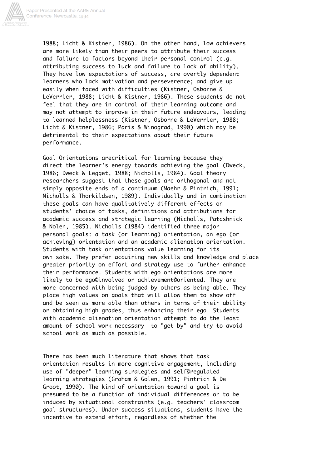

1988; Licht & Kistner, 1986). On the other hand, low achievers are more likely than their peers to attribute their success and failure to factors beyond their personal control (e.g. attributing success to luck and failure to lack of ability). They have low expectations of success, are overtly dependent learners who lack motivation and perseverence; and give up easily when faced with difficulties (Kistner, Osborne & LeVerrier, 1988; Licht & Kistner, 1986). These students do not feel that they are in control of their learning outcome and may not attempt to improve in their future endeavours, leading to learned helplessness (Kistner, Osborne & LeVerrier, 1988; Licht & Kistner, 1986; Paris & Winograd, 1990) which may be detrimental to their expectations about their future performance.

Goal Orientations arecritical for learning because they direct the learner's energy towards achieving the goal (Dweck, 1986; Dweck & Legget, 1988; Nicholls, 1984). Goal theory researchers suggest that these goals are orthogonal and not simply opposite ends of a continuum (Maehr & Pintrich, 1991; Nicholls & Thorkildsen, 1989). Individually and in combination these goals can have qualitatively different effects on students' choice of tasks, definitions and attributions for academic success and strategic learning (Nicholls, Patashnick & Nolen, 1985). Nicholls (1984) identified three major personal goals: a task (or learning) orientation, an ego (or achieving) orientation and an academic alienation orientation. Students with task orientations value learning for its own sake. They prefer acquiring new skills and knowledge and place greater priority on effort and strategy use to further enhance their performance. Students with ego orientations are more likely to be ego©involved or achievement©oriented. They are more concerned with being judged by others as being able. They place high values on goals that will allow them to show off and be seen as more able than others in terms of their ability or obtaining high grades, thus enhancing their ego. Students with academic alienation orientation attempt to do the least amount of school work necessary to "get by" and try to avoid school work as much as possible.

There has been much literature that shows that task orientation results in more cognitive engagement, including use of "deeper" learning strategies and self©regulated learning strategies (Graham & Golen, 1991; Pintrich & De Groot, 1990). The kind of orientation toward a goal is presumed to be a function of individual differences or to be induced by situational constraints (e.g. teachers' classroom goal structures). Under success situations, students have the incentive to extend effort, regardless of whether the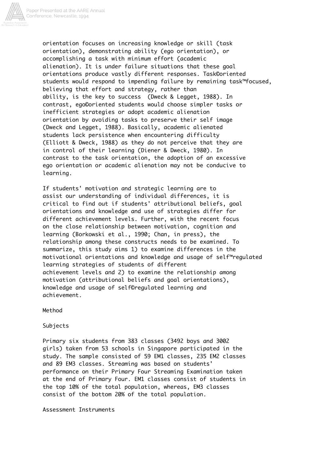

orientation focuses on increasing knowledge or skill (task orientation), demonstrating ability (ego orientation), or accomplishing a task with minimum effort (academic alienation). It is under failure situations that these goal orientations produce vastly different responses. Task©oriented students would respond to impending failure by remaining task™focused, believing that effort and strategy, rather than ability, is the key to success (Dweck & Legget, 1988). In contrast, ego©oriented students would choose simpler tasks or inefficient strategies or adopt academic alienation orientation by avoiding tasks to preserve their self image (Dweck and Legget, 1988). Basically, academic alienated students lack persistence when encountering difficulty (Elliott & Dweck, 1988) as they do not perceive that they are in control of their learning (Diener & Dweck, 1980). In contrast to the task orientation, the adoption of an excessive ego orientation or academic alienation may not be conducive to learning.

If students' motivation and strategic learning are to assist our understanding of individual differences, it is critical to find out if students' attributional beliefs, goal orientations and knowledge and use of strategies differ for different achievement levels. Further, with the recent focus on the close relationship between motivation, cognition and learning (Borkowski et al., 1990; Chan, in press), the relationship among these constructs needs to be examined. To summarize, this study aims 1) to examine differences in the motivational orientations and knowledge and usage of self™regulated learning strategies of students of different achievement levels and 2) to examine the relationship among motivation (attributional beliefs and goal orientations), knowledge and usage of self©regulated learning and achievement.

Method

**Subjects** 

Primary six students from 383 classes (3492 boys and 3002 girls) taken from 53 schools in Singapore participated in the study. The sample consisted of 59 EM1 classes, 235 EM2 classes and 89 EM3 classes. Streaming was based on students' performance on their Primary Four Streaming Examination taken at the end of Primary Four. EM1 classes consist of students in the top 10% of the total population, whereas, EM3 classes consist of the bottom 20% of the total population.

Assessment Instruments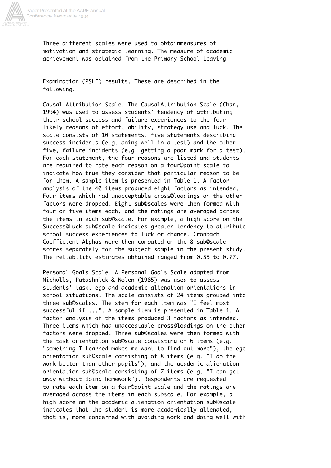

Three different scales were used to obtainmeasures of motivation and strategic learning. The measure of academic achievement was obtained from the Primary School Leaving

Examination (PSLE) results. These are described in the following.

Causal Attribution Scale. The CausalAttribution Scale (Chan, 1994) was used to assess students' tendency of attributing their school success and failure experiences to the four likely reasons of effort, ability, strategy use and luck. The scale consists of 10 statements, five statements describing success incidents (e.g. doing well in a test) and the other five, failure incidents (e.g. getting a poor mark for a test). For each statement, the four reasons are listed and students are required to rate each reason on a four©point scale to indicate how true they consider that particular reason to be for them. A sample item is presented in Table 1. A factor analysis of the 40 items produced eight factors as intended. Four items which had unacceptable cross©loadings on the other factors were dropped. Eight sub©scales were then formed with four or five items each, and the ratings are averaged across the items in each sub©scale. For example, a high score on the Success©Luck sub©scale indicates greater tendency to attribute school success experiences to luck or chance. Cronbach Coefficient Alphas were then computed on the 8 sub©scale scores separately for the subject sample in the present study. The reliability estimates obtained ranged from 0.55 to 0.77.

Personal Goals Scale. A Personal Goals Scale adapted from Nicholls, Patashnick & Nolen (1985) was used to assess students' task, ego and academic alienation orientations in school situations. The scale consists of 24 items grouped into three sub©scales. The stem for each item was "I feel most successful if ...". A sample item is presented in Table 1. A factor analysis of the items produced 3 factors as intended. Three items which had unacceptable cross©loadings on the other factors were dropped. Three sub©scales were then formed with the task orientation sub©scale consisting of 6 items (e.g. "something I learned makes me want to find out more"), the ego orientation sub©scale consisting of 8 items (e.g. "I do the work better than other pupils"), and the academic alienation orientation sub©scale consisting of 7 items (e.g. "I can get away without doing homework"). Respondents are requested to rate each item on a four©point scale and the ratings are averaged across the items in each subscale. For example, a high score on the academic alienation orientation sub©scale indicates that the student is more academically alienated, that is, more concerned with avoiding work and doing well with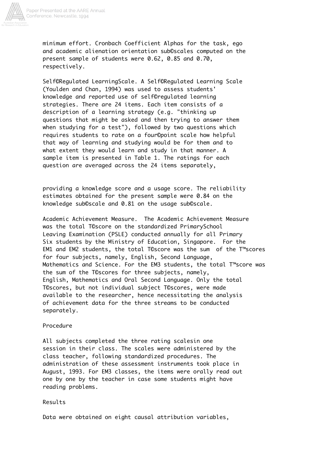

minimum effort. Cronbach Coefficient Alphas for the task, ego and academic alienation orientation sub©scales computed on the present sample of students were 0.62, 0.85 and 0.70, respectively.

Self©Regulated LearningScale. A Self©Regulated Learning Scale (Youlden and Chan, 1994) was used to assess students' knowledge and reported use of self©regulated learning strategies. There are 24 items. Each item consists of a description of a learning strategy (e.g. "thinking up questions that might be asked and then trying to answer them when studying for a test"), followed by two questions which requires students to rate on a four©point scale how helpful that way of learning and studying would be for them and to what extent they would learn and study in that manner. A sample item is presented in Table 1. The ratings for each question are averaged across the 24 items separately,

providing a knowledge score and a usage score. The reliability estimates obtained for the present sample were 0.84 on the knowledge sub©scale and 0.81 on the usage sub©scale.

Academic Achievement Measure. The Academic Achievement Measure was the total T©score on the standardized PrimarySchool Leaving Examination (PSLE) conducted annually for all Primary Six students by the Ministry of Education, Singapore. For the EM1 and EM2 students, the total T©score was the sum of the T™scores for four subjects, namely, English, Second Language, Mathematics and Science. For the EM3 students, the total T™score was the sum of the T©scores for three subjects, namely, English, Mathematics and Oral Second Language. Only the total T©scores, but not individual subject T©scores, were made available to the researcher, hence necessitating the analysis of achievement data for the three streams to be conducted separately.

### Procedure

All subjects completed the three rating scalesin one session in their class. The scales were administered by the class teacher, following standardized procedures. The administration of these assessment instruments took place in August, 1993. For EM3 classes, the items were orally read out one by one by the teacher in case some students might have reading problems.

### Results

Data were obtained on eight causal attribution variables,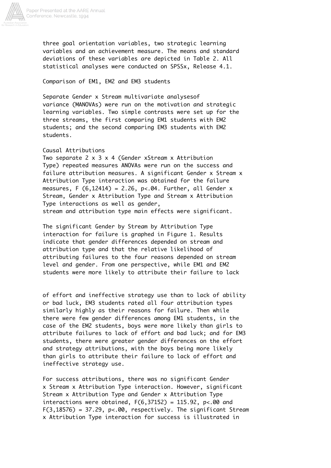

three goal orientation variables, two strategic learning variables and an achievement measure. The means and standard deviations of these variables are depicted in Table 2. All statistical analyses were conducted on SPSSx, Release 4.1.

Comparison of EM1, EM2 and EM3 students

Separate Gender x Stream multivariate analysesof variance (MANOVAs) were run on the motivation and strategic learning variables. Two simple contrasts were set up for the three streams, the first comparing EM1 students with EM2 students; and the second comparing EM3 students with EM2 students.

# Causal Attributions

Two separate 2 x 3 x 4 (Gender xStream x Attribution Type) repeated measures ANOVAs were run on the success and failure attribution measures. A significant Gender x Stream x Attribution Type interaction was obtained for the failure measures, F  $(6,12414) = 2.26$ , p<.04. Further, all Gender x Stream, Gender x Attribution Type and Stream x Attribution Type interactions as well as gender, stream and attribution type main effects were significant.

The significant Gender by Stream by Attribution Type interaction for failure is graphed in Figure 1. Results indicate that gender differences depended on stream and attribution type and that the relative likelihood of attributing failures to the four reasons depended on stream level and gender. From one perspective, while EM1 and EM2 students were more likely to attribute their failure to lack

of effort and ineffective strategy use than to lack of ability or bad luck, EM3 students rated all four attribution types similarly highly as their reasons for failure. Then while there were few gender differences among EM1 students, in the case of the EM2 students, boys were more likely than girls to attribute failures to lack of effort and bad luck; and for EM3 students, there were greater gender differences on the effort and strategy attributions, with the boys being more likely than girls to attribute their failure to lack of effort and ineffective strategy use.

For success attributions, there was no significant Gender x Stream x Attribution Type interaction. However, significant Stream x Attribution Type and Gender x Attribution Type interactions were obtained,  $F(6,37152) = 115.92$ ,  $p < .00$  and  $F(3,18576) = 37.29$ ,  $p<0.00$ , respectively. The significant Stream x Attribution Type interaction for success is illustrated in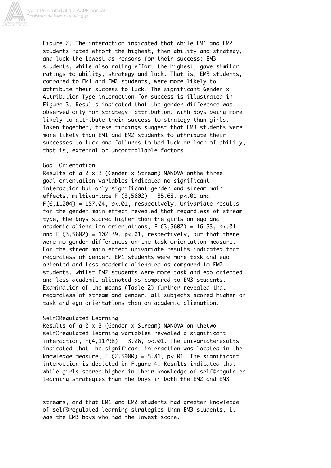

Figure 2. The interaction indicated that while EM1 and EM2 students rated effort the highest, then ability and strategy, and luck the lowest as reasons for their success; EM3 students, while also rating effort the highest, gave similar ratings to ability, strategy and luck. That is, EM3 students, compared to EM1 and EM2 students, were more likely to attribute their success to luck. The significant Gender x Attribution Type interaction for success is illustrated in Figure 3. Results indicated that the gender difference was observed only for strategy attribution, with boys being more likely to attribute their success to strategy than girls. Taken together, these findings suggest that EM3 students were more likely than EM1 and EM2 students to attribute their successes to luck and failures to bad luck or lack of ability, that is, external or uncontrollable factors.

### Goal Orientation

Results of a 2 x 3 (Gender x Stream) MANOVA onthe three goal orientation variables indicated no significant interaction but only significant gender and stream main effects, multivariate F  $(3,5602) = 35.68$ ,  $p < 01$  and  $F(6, 11204) = 157.04$ ,  $p<0.01$ , respectively. Univariate results for the gender main effect revealed that regardless of stream type, the boys scored higher than the girls on ego and academic alienation orientations,  $F(3,5602) = 16.53$ ,  $p < 01$ and F  $(3,5602) = 102.39$ ,  $p<0.01$ , respectively, but that there were no gender differences on the task orientation measure. For the stream main effect univariate results indicated that regardless of gender, EM1 students were more task and ego oriented and less academic alienated as compared to EM2 students, whilst EM2 students were more task and ego oriented and less academic alienated as compared to EM3 students. Examination of the means (Table 2) further revealed that regardless of stream and gender, all subjects scored higher on task and ego orientations than on academic alienation.

### Self©Regulated Learning

Results of a 2 x 3 (Gender x Stream) MANOVA on thetwo self©regulated learning variables revealed a significant interaction,  $F(4, 11798) = 3.26$ ,  $p<0.01$ . The univariateresults indicated that the significant interaction was located in the knowledge measure, F  $(2,5900) = 5.81$ , p<.01. The significant interaction is depicted in Figure 4. Results indicated that while girls scored higher in their knowledge of self©regulated learning strategies than the boys in both the EM2 and EM3

streams, and that EM1 and EM2 students had greater knowledge of self©regulated learning strategies than EM3 students, it was the EM3 boys who had the lowest score.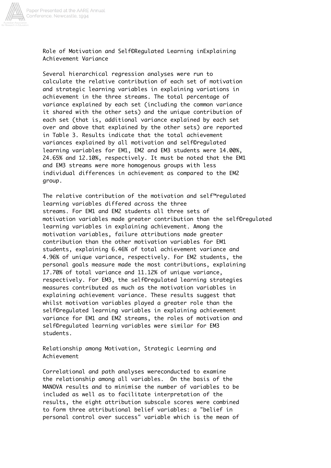

Role of Motivation and Self©Regulated Learning inExplaining Achievement Variance

Several hierarchical regression analyses were run to calculate the relative contribution of each set of motivation and strategic learning variables in explaining variations in achievement in the three streams. The total percentage of variance explained by each set (including the common variance it shared with the other sets) and the unique contribution of each set (that is, additional variance explained by each set over and above that explained by the other sets) are reported in Table 3. Results indicate that the total achievement variances explained by all motivation and self©regulated learning variables for EM1, EM2 and EM3 students were 14.00%, 24.65% and 12.10%, respectively. It must be noted that the EM1 and EM3 streams were more homogenous groups with less individual differences in achievement as compared to the EM2 group.

The relative contribution of the motivation and self™regulated learning variables differed across the three streams. For EM1 and EM2 students all three sets of motivation variables made greater contribution than the self©regulated learning variables in explaining achievement. Among the motivation variables, failure attributions made greater contribution than the other motivation variables for EM1 students, explaining 6.46% of total achievement variance and 4.96% of unique variance, respectively. For EM2 students, the personal goals measure made the most contributions, explaining 17.70% of total variance and 11.12% of unique variance, respectively. For EM3, the self©regulated learning strategies measures contributed as much as the motivation variables in explaining achievement variance. These results suggest that whilst motivation variables played a greater role than the self©regulated learning variables in explaining achievement variance for EM1 and EM2 streams, the roles of motivation and self©regulated learning variables were similar for EM3 students.

Relationship among Motivation, Strategic Learning and Achievement

Correlational and path analyses wereconducted to examine the relationship among all variables. On the basis of the MANOVA results and to minimise the number of variables to be included as well as to facilitate interpretation of the results, the eight attribution subscale scores were combined to form three attributional belief variables: a "belief in personal control over success" variable which is the mean of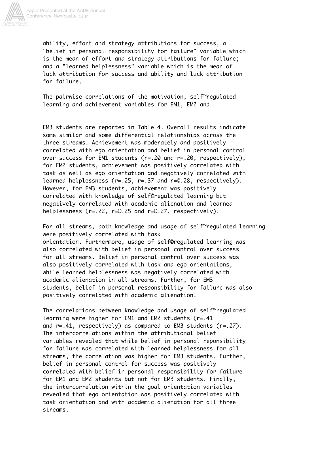

ability, effort and strategy attributions for success, a "belief in personal responsibility for failure" variable which is the mean of effort and strategy attributions for failure; and a "learned helplessness" variable which is the mean of luck attribution for success and ability and luck attribution for failure.

The pairwise correlations of the motivation, self™regulated learning and achievement variables for EM1, EM2 and

EM3 students are reported in Table 4. Overall results indicate some similar and some differential relationships across the three streams. Achievement was moderately and positively correlated with ego orientation and belief in personal control over success for EM1 students (r=.20 and r=.20, respectively), for EM2 students, achievement was positively correlated with task as well as ego orientation and negatively correlated with learned helplessness (r=.25, r=.37 and r=©.28, respectively). However, for EM3 students, achievement was positively correlated with knowledge of self©regulated learning but negatively correlated with academic alienation and learned helplessness (r=.22, r=©.25 and r=©.27, respectively).

For all streams, both knowledge and usage of self™regulated learning were positively correlated with task orientation. Furthermore, usage of self©regulated learning was also correlated with belief in personal control over success for all streams. Belief in personal control over success was also positively correlated with task and ego orientations, while learned helplessness was negatively correlated with academic alienation in all streams. Further, for EM3 students, belief in personal responsibility for failure was also positively correlated with academic alienation.

The correlations between knowledge and usage of self™regulated learning were higher for EM1 and EM2 students (r=.41 and  $r=.41$ , respectively) as compared to EM3 students ( $r=.27$ ). The intercorrelations within the attributional belief variables revealed that while belief in personal reponsibility for failure was correlated with learned helplessness for all streams, the correlation was higher for EM3 students. Further, belief in personal control for success was positively correlated with belief in personal responsibility for failure for EM1 and EM2 students but not for EM3 students. Finally, the intercorrelation within the goal orientation variables revealed that ego orientation was positively correlated with task orientation and with academic alienation for all three streams.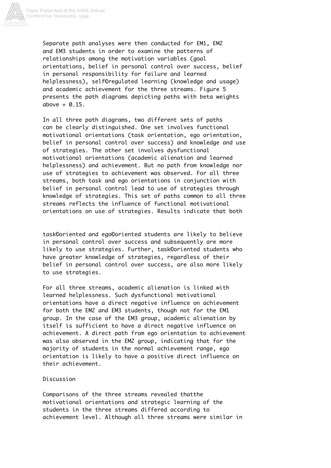

Separate path analyses were then conducted for EM1, EM2 and EM3 students in order to examine the patterns of relationships among the motivation variables (goal orientations, belief in personal control over success, belief in personal responsibility for failure and learned helplessness), self©regulated learning (knowledge and usage) and academic achievement for the three streams. Figure 5 presents the path diagrams depicting paths with beta weights above  $+ 0.15$ .

In all three path diagrams, two different sets of paths can be clearly distinguished. One set involves functional motivational orientations (task orientation, ego orientation, belief in personal control over success) and knowledge and use of strategies. The other set involves dysfunctional motivational orientations (academic alienation and learned helplessness) and achievement. But no path from knowledge nor use of strategies to achievement was observed. For all three streams, both task and ego orientations in conjunction with belief in personal control lead to use of strategies through knowledge of strategies. This set of paths common to all three streams reflects the influence of functional motivational orientations on use of strategies. Results indicate that both

task©oriented and ego©oriented students are likely to believe in personal control over success and subsequently are more likely to use strategies. Further, task©oriented students who have greater knowledge of strategies, regardless of their belief in personal control over success, are also more likely to use strategies.

For all three streams, academic alienation is linked with learned helplessness. Such dysfunctional motivational orientations have a direct negative influence on achievement for both the EM2 and EM3 students, though not for the EM1 group. In the case of the EM3 group, academic alienation by itself is sufficient to have a direct negative influence on achievement. A direct path from ego orientation to achievement was also observed in the EM2 group, indicating that for the majority of students in the normal achievement range, ego orientation is likely to have a positive direct influence on their achievement.

## Discussion

Comparisons of the three streams revealed thatthe motivational orientations and strategic learning of the students in the three streams differed according to achievement level. Although all three streams were similar in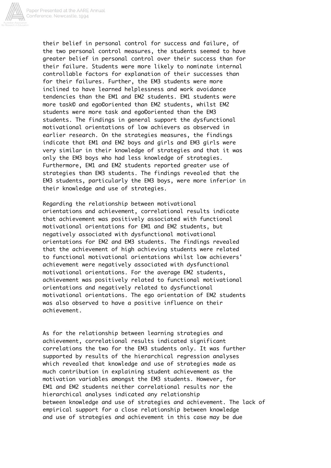

their belief in personal control for success and failure, of the two personal control measures, the students seemed to have greater belief in personal control over their success than for their failure. Students were more likely to nominate internal controllable factors for explanation of their successes than for their failures. Further, the EM3 students were more inclined to have learned helplessness and work avoidance tendencies than the EM1 and EM2 students. EM1 students were more task© and ego©oriented than EM2 students, whilst EM2 students were more task and ego©oriented than the EM3 students. The findings in general support the dysfunctional motivational orientations of low achievers as observed in earlier research. On the strategies measures, the findings indicate that EM1 and EM2 boys and girls and EM3 girls were very similar in their knowledge of strategies and that it was only the EM3 boys who had less knowledge of strategies. Furthermore, EM1 and EM2 students reported greater use of strategies than EM3 students. The findings revealed that the EM3 students, particularly the EM3 boys, were more inferior in their knowledge and use of strategies.

Regarding the relationship between motivational orientations and achievement, correlational results indicate that achievement was positively associated with functional motivational orientations for EM1 and EM2 students, but negatively associated with dysfunctional motivational orientations for EM2 and EM3 students. The findings revealed that the achievement of high achieving students were related to functional motivational orientations whilst low achievers' achievement were negatively associated with dysfunctional motivational orientations. For the average EM2 students, achievement was positively related to functional motivational orientations and negatively related to dysfunctional motivational orientations. The ego orientation of EM2 students was also observed to have a positive influence on their achievement.

As for the relationship between learning strategies and achievement, correlational results indicated significant correlations the two for the EM3 students only. It was further supported by results of the hierarchical regression analyses which revealed that knowledge and use of strategies made as much contribution in explaining student achievement as the motivation variables amongst the EM3 students. However, for EM1 and EM2 students neither correlational results nor the hierarchical analyses indicated any relationship between knowledge and use of strategies and achievement. The lack of empirical support for a close relationship between knowledge and use of strategies and achievement in this case may be due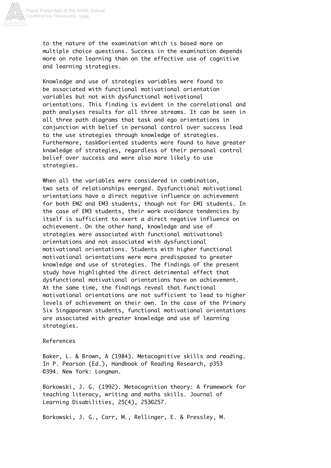

to the nature of the examination which is based more on multiple choice questions. Success in the examination depends more on rote learning than on the effective use of cognitive and learning strategies.

Knowledge and use of strategies variables were found to be associated with functional motivational orientation variables but not with dysfunctional motivational orientations. This finding is evident in the correlational and path analyses results for all three streams. It can be seen in all three path diagrams that task and ego orientations in conjunction with belief in personal control over success lead to the use strategies through knowledge of strategies. Furthermore, task©oriented students were found to have greater knowledge of strategies, regardless of their personal control belief over success and were also more likely to use strategies.

When all the variables were considered in combination, two sets of relationships emerged. Dysfunctional motivational orientations have a direct negative influence on achievement for both EM2 and EM3 students, though not for EM1 students. In the case of EM3 students, their work avoidance tendencies by itself is sufficient to exert a direct negative influence on achievement. On the other hand, knowledge and use of strategies were associated with functional motivational orientations and not associated with dysfunctional motivational orientations. Students with higher functional motivational orientations were more predisposed to greater knowledge and use of strategies. The findings of the present study have highlighted the direct detrimental effect that dysfunctional motivational orientations have on achievement. At the same time, the findings reveal that functional motivational orientations are not sufficient to lead to higher levels of achievement on their own. In the case of the Primary Six Singaporean students, functional motivational orientations are associated with greater knowledge and use of learning strategies.

### References

Baker, L. & Brown, A (1984). Metacognitive skills and reading. In P. Pearson (Ed.), Handbook of Reading Research, p353 ©394. New York: Longman.

Borkowski, J. G. (1992). Metacognition theory: A framework for teaching literacy, writing and maths skills. Journal of Learning Disabilities, 25(4), 253©257.

Borkowski, J. G., Carr, M., Rellinger, E. & Pressley, M.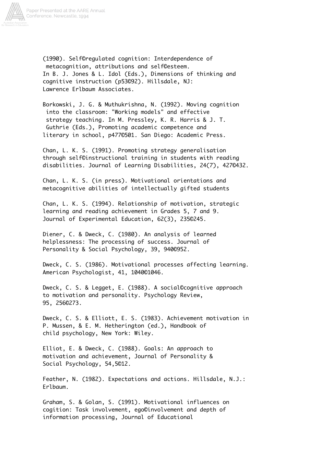

(1990). Self©regulated cognition: Interdependence of metacognition, attributions and self©esteem. In B. J. Jones & L. Idol (Eds.), Dimensions of thinking and cognitive instruction (p53©92). Hillsdale, NJ: Lawrence Erlbaum Associates.

Borkowski, J. G. & Muthukrishna, N. (1992). Moving cognition into the classroom: "Working models" and effective strategy teaching. In M. Pressley, K. R. Harris & J. T. Guthrie (Eds.), Promoting academic competence and literary in school, p477©501. San Diego: Academic Press.

Chan, L. K. S. (1991). Promoting strategy generalisation through self©instructional training in students with reading disabilities. Journal of Learning Disabilities, 24(7), 427©432.

Chan, L. K. S. (in press). Motivational orientations and metacognitive abilities of intellectually gifted students

Chan, L. K. S. (1994). Relationship of motivation, strategic learning and reading achievement in Grades 5, 7 and 9. Journal of Experimental Education, 62(3), 235©245.

Diener, C. & Dweck, C. (1980). An analysis of learned helplessness: The processing of success. Journal of Personality & Social Psychology, 39, 940©952.

Dweck, C. S. (1986). Motivational processes affecting learning. American Psychologist, 41, 1040©1046.

Dweck, C. S. & Legget, E. (1988). A social©cognitive approach to motivation and personality. Psychology Review, 95, 256©273.

Dweck, C. S. & Elliott, E. S. (1983). Achievement motivation in P. Mussen, & E. M. Hetherington (ed.), Handbook of child psychology, New York: Wiley.

Elliot, E. & Dweck, C. (1988). Goals: An approach to motivation and achievement, Journal of Personality & Social Psychology, 54,5©12.

Feather, N. (1982). Expectations and actions. Hillsdale, N.J.: Erlbaum.

Graham, S. & Golan, S. (1991). Motivational influences on cogition: Task involvement, ego©involvement and depth of information processing, Journal of Educational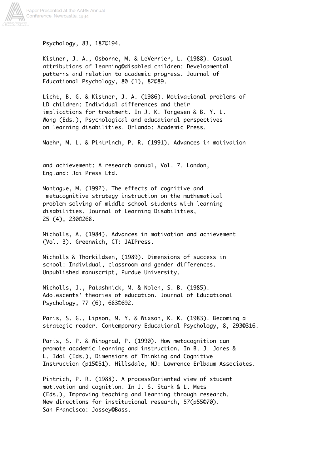

Psychology, 83, 187©194.

Kistner, J. A., Osborne, M. & LeVerrier, L. (1988). Casual attributions of learning©disabled children: Developmental patterns and relation to academic progress. Journal of Educational Psychology, 80 (1), 82©89.

Licht, B. G. & Kistner, J. A. (1986). Motivational problems of LD children: Individual differences and their implications for treatment. In J. K. Torgesen & B. Y. L. Wong (Eds.), Psychological and educational perspectives on learning disabilities. Orlando: Academic Press.

Maehr, M. L. & Pintrinch, P. R. (1991). Advances in motivation

and achievement: A research annual, Vol. 7. London, England: Jai Press Ltd.

Montague, M. (1992). The effects of cognitive and metacognitive strategy instruction on the mathematical problem solving of middle school students with learning disabilities. Journal of Learning Disabilities, 25 (4), 230©268.

Nicholls, A. (1984). Advances in motivation and achievement (Vol. 3). Greenwich, CT: JAIPress.

Nicholls & Thorkildsen, (1989). Dimensions of success in school: Individual, classroom and gender differences. Unpublished manuscript, Purdue University.

Nicholls, J., Patashnick, M. & Nolen, S. B. (1985). Adolescents' theories of education. Journal of Educational Psychology, 77 (6), 683©692.

Paris, S. G., Lipson, M. Y. & Wixson, K. K. (1983). Becoming a strategic reader. Contemporary Educational Psychology, 8, 293©316.

Paris, S. P. & Winograd, P. (1990). How metacognition can promote academic learning and instruction. In B. J. Jones & L. Idol (Eds.), Dimensions of Thinking and Cognitive Instruction (p15©51). Hillsdale, NJ: Lawrence Erlbaum Associates.

Pintrich, P. R. (1988). A process©oriented view of student motivation and cognition. In J. S. Stark & L. Mets (Eds.), Improving teaching and learning through research. New directions for institutional research, 57(p55©70). San Francisco: Jossey©Bass.